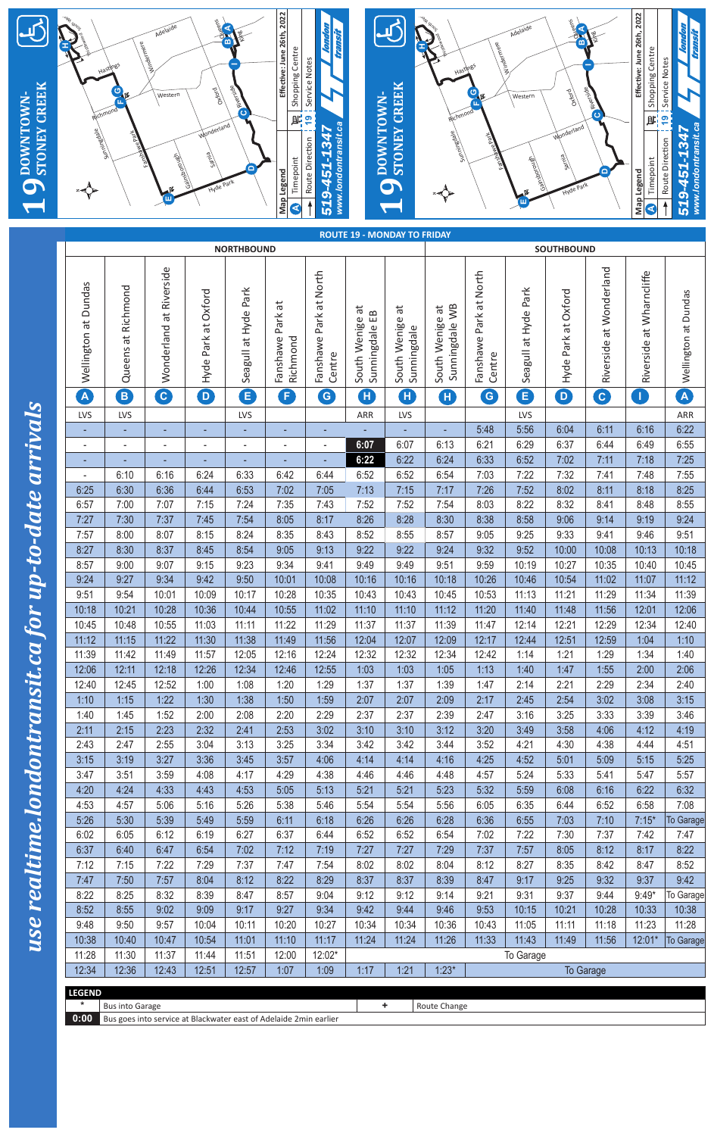|                     |                                  |                            | Adelaide                |                     |                      | Effective: June 26th, 2022 |                                  |                 |                                    |                                   |                        | Adelaide             |                            |                         | Effective: June 26th, 2022 |                                                      |
|---------------------|----------------------------------|----------------------------|-------------------------|---------------------|----------------------|----------------------------|----------------------------------|-----------------|------------------------------------|-----------------------------------|------------------------|----------------------|----------------------------|-------------------------|----------------------------|------------------------------------------------------|
|                     |                                  |                            | windermere              |                     | m                    |                            |                                  |                 |                                    |                                   | Windermere             |                      |                            |                         |                            |                                                      |
|                     |                                  |                            |                         |                     |                      | Shopping Centre            | Service Notes                    |                 |                                    | Hasting                           |                        |                      |                            |                         | Shopping Centre            | Service Notes                                        |
| <b>STONEY CREEK</b> |                                  | Richmond                   | Western                 | <b>Browo</b>        | Spisoner             |                            |                                  |                 | <b>STONEY CREEK</b>                |                                   | ပ                      | Western              | <b>Browo</b>               | <b>O ANDESSOR</b>       |                            |                                                      |
| DOWNTOWN-           |                                  |                            |                         | Wonderland          |                      | 鹛                          | $\overline{19}$                  | DOWNTOWN-       |                                    | Richmond                          |                        |                      | Wonderland                 |                         | <b>JE:</b>                 | $\frac{1}{6}$                                        |
|                     | appauuuns                        |                            |                         |                     |                      |                            | www.londontransit.ca<br>451-1347 |                 |                                    | appauuuns                         |                        |                      |                            |                         |                            | www.londontransit.ca<br>-451-1347<br>Route Direction |
|                     |                                  |                            | Tainorough              | einies              |                      | Timepoint                  | Route Direction                  |                 |                                    |                                   |                        | Tain borough         | eivies                     |                         | Timepoint                  |                                                      |
| 9                   |                                  |                            |                         | Hyde Park           |                      | Map Legend                 | <u> တု</u>                       |                 | $\mathbf Q$                        |                                   |                        |                      | Hyde Park                  |                         | Map Legend                 | <u>රා</u>                                            |
|                     |                                  |                            |                         |                     |                      | $\blacktriangleleft$       | $\overline{51}$                  |                 |                                    |                                   |                        |                      |                            |                         | $\blacktriangleleft$       | 51                                                   |
|                     |                                  |                            |                         |                     | <b>NORTHBOUND</b>    |                            |                                  |                 | <b>ROUTE 19 - MONDAY TO FRIDAY</b> |                                   |                        |                      | <b>SOUTHBOUND</b>          |                         |                            |                                                      |
|                     |                                  |                            |                         |                     |                      |                            |                                  |                 |                                    |                                   |                        |                      |                            |                         |                            |                                                      |
|                     |                                  |                            | Wonderland at Riverside |                     |                      |                            | Fanshawe Park at North           |                 |                                    |                                   | Fanshawe Park at North |                      |                            | Riverside at Wonderland | Riverside at Wharncliffe   |                                                      |
|                     | Wellington at Dundas             | Queens at Richmond         |                         | Hyde Park at Oxford | Seagull at Hyde Park | đ                          |                                  | ΕB              | ä                                  |                                   |                        | Seagull at Hyde Park | Hyde Park at Oxford        |                         |                            | Wellington at Dundas                                 |
|                     |                                  |                            |                         |                     |                      | Park                       |                                  | South Wenige at | South Wenige                       | Sunningdale WB<br>South Wenige at |                        |                      |                            |                         |                            |                                                      |
|                     |                                  |                            |                         |                     |                      | Fanshawe<br>Richmond       |                                  | Sunningdale     | Sunningdale                        |                                   |                        |                      |                            |                         |                            |                                                      |
|                     |                                  |                            |                         |                     |                      |                            | Centre                           |                 |                                    |                                   | Centre                 |                      |                            |                         |                            |                                                      |
| $\mathbf{S}$        | $\mathbf{A}$                     | $\left( \mathsf{B}\right)$ | $\mathbf{c}$            | $\mathbf{D}$        | $\mathbf{E}$         | F                          | $\boxed{G}$                      | $\mathbf{H}$    | Œ                                  | Œ                                 | $\epsilon$             | E                    | $\left( \mathbf{D}\right)$ | $\boxed{\textbf{c}}$    | $\mathbf{T}$               | $\left  \mathbf{A} \right $                          |
|                     | LVS                              | LVS                        |                         |                     | LVS                  |                            |                                  | ARR             | LVS                                |                                   | 5:48                   | LVS<br>5:56          | 6:04                       | 6:11                    | 6:16                       | ARR<br>6:22                                          |
| <b>Irriva</b>       |                                  |                            |                         |                     |                      |                            |                                  | 6:07            | 6:07                               | 6:13                              | 6:21                   | 6:29                 | 6:37                       | 6:44                    | 6:49                       | 6:55                                                 |
|                     | ٠                                |                            |                         |                     |                      |                            |                                  | 6:22            | 6:22                               | 6:24                              | 6:33                   | 6:52                 | 7:02                       | 7:11                    | 7:18                       | 7:25                                                 |
| $\overline{a}$      | $\overline{\phantom{a}}$<br>6:25 | 6:10<br>6:30               | 6:16<br>6:36            | 6:24<br>6:44        | 6:33<br>6:53         | 6:42<br>7:02               | 6:44<br>7:05                     | 6:52<br>7:13    | 6:52<br>7:15                       | 6:54<br>7:17                      | 7:03<br>7:26           | 7:22<br>7:52         | 7:32<br>8:02               | 7:41<br>8:11            | 7:48<br>8:18               | 7:55<br>8:25                                         |
| <b>ST</b>           | 6:57                             | 7:00                       | 7:07                    | 7:15                | 7:24                 | 7:35                       | 7:43                             | 7:52            | 7:52                               | 7:54                              | 8:03                   | 8:22                 | 8:32                       | 8:41                    | 8:48                       | 8:55                                                 |
| <u>pp-</u>          | 7:27<br>7:57                     | 7:30<br>8:00               | 7:37<br>8:07            | 7:45<br>8:15        | 7:54<br>8:24         | 8:05<br>8:35               | 8:17<br>8:43                     | 8:26<br>8:52    | 8:28<br>8:55                       | 8:30<br>8:57                      | 8:38<br>9:05           | 8:58<br>9:25         | 9:06<br>9:33               | 9:14<br>9:41            | 9:19<br>9:46               | 9:24<br>9:51                                         |
| $\boldsymbol{c}$    | 8:27                             | 8:30                       | 8:37                    | 8:45                | 8:54                 | 9:05                       | 9:13                             | 9:22            | 9:22                               | 9:24                              | 9:32                   | 9:52                 | 10:00                      | 10:08                   | 10:13                      | 10:18                                                |
| n.<br>Q             | 8:57<br>9:24                     | 9:00<br>9:27               | 9:07<br>9:34            | 9:15<br>9:42        | 9:23<br>9:50         | 9:34<br>10:01              | 9:41<br>10:08                    | 9:49<br>10:16   | 9:49<br>10:16                      | 9:51<br>10:18                     | 9:59<br>10:26          | 10:19<br>10:46       | 10:27<br>10:54             | 10:35<br>11:02          | 10:40<br>11:07             | 10:45<br>11:12                                       |
| N                   | 9:51                             | 9:54                       | 10:01                   | 10:09               | 10:17                | 10:28                      | 10:35                            | 10:43           | 10:43                              | 10:45                             | 10:53                  | 11:13                | 11:21                      | 11:29                   | 11:34                      | 11:39                                                |
|                     | 10:18                            | 10:21                      | 10:28                   | 10:36               | 10:44                | 10:55                      | 11:02                            | 11:10           | 11:10                              | 11:12                             | 11:20                  | 11:40                | 11:48                      | 11:56                   | 12:01                      | 12:06                                                |
| <b>C</b>            | 10:45<br>11:12                   | 10:48<br>11:15             | 10:55<br>11:22          | 11:03<br>11:30      | 11:11<br>11:38       | 11:22<br>11:49             | 11:29<br>11:56                   | 11:37<br>12:04  | 11:37<br>12:07                     | 11:39<br>12:09                    | 11:47<br>12:17         | 12:14<br>12:44       | 12:21<br>12:51             | 12:29<br>12:59          | 12:34<br>1:04              | 12:40<br>1:10                                        |
| CO                  | 11:39                            | 11:42                      | 11:49                   | 11:57               | 12:05                | 12:16                      | 12:24                            | 12:32           | 12:32                              | 12:34                             | 12:42                  | 1:14                 | 1:21                       | 1:29                    | 1:34                       | 1:40                                                 |
|                     | 12:06<br>12:40                   | 12:11<br>12:45             | 12:18<br>12:52          | 12:26<br>1:00       | 12:34<br>1:08        | 12:46<br>1:20              | 12:55<br>1:29                    | 1:03<br>1:37    | 1:03<br>1:37                       | 1:05<br>1:39                      | 1:13<br>1:47           | 1:40<br>2:14         | 1:47<br>2:21               | 1:55<br>2:29            | 2:00<br>2:34               | 2:06<br>2:40                                         |
|                     | 1:10                             | 1:15                       | 1:22                    | 1:30                | 1:38                 | 1:50                       | 1:59                             | 2:07            | 2:07                               | 2:09                              | 2:17                   | 2:45                 | 2:54                       | 3:02                    | 3:08                       | 3:15                                                 |
| transit.            | 1:40                             | 1:45                       | 1:52                    | 2:00                | 2:08                 | 2:20                       | 2:29                             | 2:37            | 2:37                               | 2:39                              | 2:47                   | 3:16                 | 3:25                       | 3:33                    | 3:39                       | 3:46                                                 |
|                     | 2:11<br>2:43                     | 2:15<br>2:47               | 2:23<br>2:55            | 2:32<br>3:04        | 2:41<br>3:13         | 2:53<br>3:25               | 3:02<br>3:34                     | 3:10<br>3:42    | 3:10<br>3:42                       | 3:12<br>3:44                      | 3:20<br>3:52           | 3:49<br>4:21         | 3:58<br>4:30               | 4:06<br>4:38            | 4:12<br>4:44               | 4:19<br>4:51                                         |
| $\overline{\bf n}$  | 3:15                             | 3:19                       | 3:27                    | 3:36                | 3:45                 | 3:57                       | 4:06                             | 4:14            | 4:14                               | 4:16                              | 4:25                   | 4:52                 | 5:01                       | 5:09                    | 5:15                       | 5:25                                                 |
|                     | 3:47<br>4:20                     | 3:51<br>4:24               | 3:59<br>4:33            | 4:08<br>4:43        | 4:17<br>4:53         | 4:29<br>5:05               | 4:38<br>5:13                     | 4:46<br>5:21    | 4:46<br>5:21                       | 4:48<br>5:23                      | 4:57<br>5:32           | 5:24<br>5:59         | 5:33<br>6:08               | 5:41<br>6:16            | 5:47<br>6:22               | 5:57<br>6:32                                         |
|                     | 4:53                             | 4:57                       | 5:06                    | 5:16                | 5:26                 | 5:38                       | 5:46                             | 5:54            | 5:54                               | 5:56                              | 6:05                   | 6:35                 | 6:44                       | 6:52                    | 6:58                       | 7:08                                                 |
| le.londo            | 5:26                             | 5:30                       | 5:39                    | 5:49                | 5:59                 | 6:11                       | 6:18                             | 6:26            | 6:26                               | 6:28                              | 6:36                   | 6:55                 | 7:03                       | 7:10                    | $7:15*$                    | To Garage                                            |
|                     | 6:02<br>6:37                     | 6:05<br>6:40               | 6:12<br>6:47            | 6:19<br>6:54        | 6:27<br>7:02         | 6:37<br>7:12               | 6:44<br>7:19                     | 6:52<br>7:27    | 6:52<br>7:27                       | 6:54<br>7:29                      | 7:02<br>7:37           | 7:22<br>7:57         | 7:30<br>8:05               | 7:37<br>8:12            | 7:42<br>8:17               | 7:47<br>8:22                                         |
| realtim             | 7:12                             | 7:15                       | 7:22                    | 7:29                | 7:37                 | 7:47                       | 7:54                             | 8:02            | 8:02                               | 8:04                              | 8:12                   | 8:27                 | 8:35                       | 8:42                    | 8:47                       | 8:52                                                 |
|                     | 7:47<br>8:22                     | 7:50<br>8:25               | 7:57<br>8:32            | 8:04<br>8:39        | 8:12<br>8:47         | 8:22<br>8:57               | 8:29<br>9:04                     | 8:37<br>9:12    | 8:37<br>9:12                       | 8:39<br>9:14                      | 8:47<br>9:21           | 9:17<br>9:31         | 9:25<br>9:37               | 9:32<br>9:44            | 9:37<br>$9:49*$            | 9:42<br>To Garage                                    |
|                     | 8:52                             | 8:55                       | 9:02                    | 9:09                | 9:17                 | 9:27                       | 9:34                             | 9:42            | 9:44                               | 9:46                              | 9:53                   | 10:15                | 10:21                      | 10:28                   | 10:33                      | 10:38                                                |
| use                 | 9:48                             | 9:50                       | 9:57                    | 10:04               | 10:11                | 10:20                      | 10:27                            | 10:34           | 10:34                              | 10:36                             | 10:43                  | 11:05                | 11:11                      | 11:18                   | 11:23                      | 11:28                                                |
|                     | 10:38<br>11:28                   | 10:40<br>11:30             | 10:47<br>11:37          | 10:54<br>11:44      | 11:01<br>11:51       | 11:10<br>12:00             | 11:17<br>12:02*                  | 11:24           | 11:24                              | 11:26                             | 11:33                  | 11:43<br>To Garage   | 11:49                      | 11:56                   | $12:01*$                   | To Garage                                            |
|                     | 12:34                            | 12:36                      | 12:43                   | 12:51               | 12:57                | 1:07                       | 1:09                             | 1:17            | 1:21                               | $1:23*$                           |                        |                      |                            | To Garage               |                            |                                                      |

| <b>LEGEND</b>      |                                                                   |  |                     |  |  |  |  |  |
|--------------------|-------------------------------------------------------------------|--|---------------------|--|--|--|--|--|
|                    | <b>Bus into Garage</b>                                            |  | <b>Route Change</b> |  |  |  |  |  |
| $\vert 0:00 \vert$ | Bus goes into service at Blackwater east of Adelaide 2min earlier |  |                     |  |  |  |  |  |